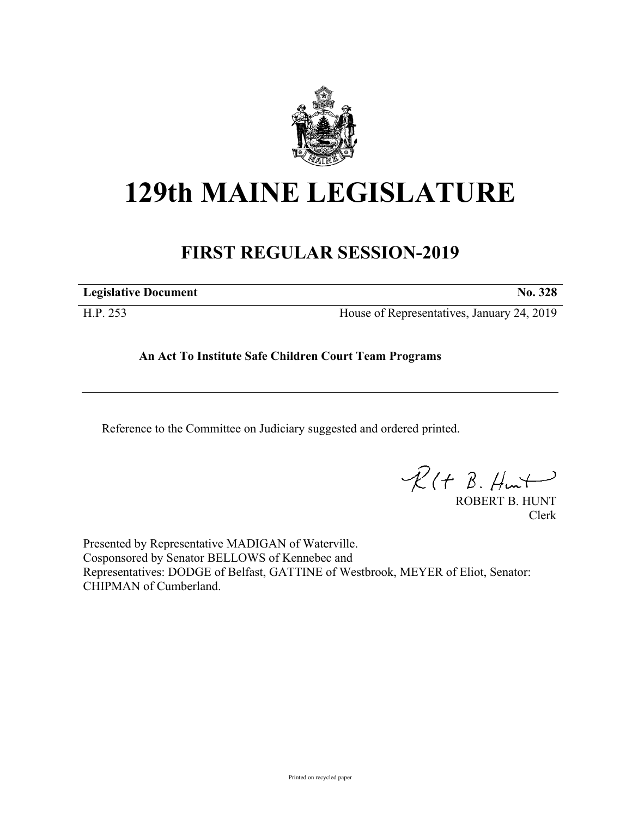

## **129th MAINE LEGISLATURE**

## **FIRST REGULAR SESSION-2019**

**Legislative Document No. 328**

H.P. 253 House of Representatives, January 24, 2019

**An Act To Institute Safe Children Court Team Programs**

Reference to the Committee on Judiciary suggested and ordered printed.

 $\mathcal{R}(t \; \mathcal{B}, \#m)$ 

ROBERT B. HUNT Clerk

Presented by Representative MADIGAN of Waterville. Cosponsored by Senator BELLOWS of Kennebec and Representatives: DODGE of Belfast, GATTINE of Westbrook, MEYER of Eliot, Senator: CHIPMAN of Cumberland.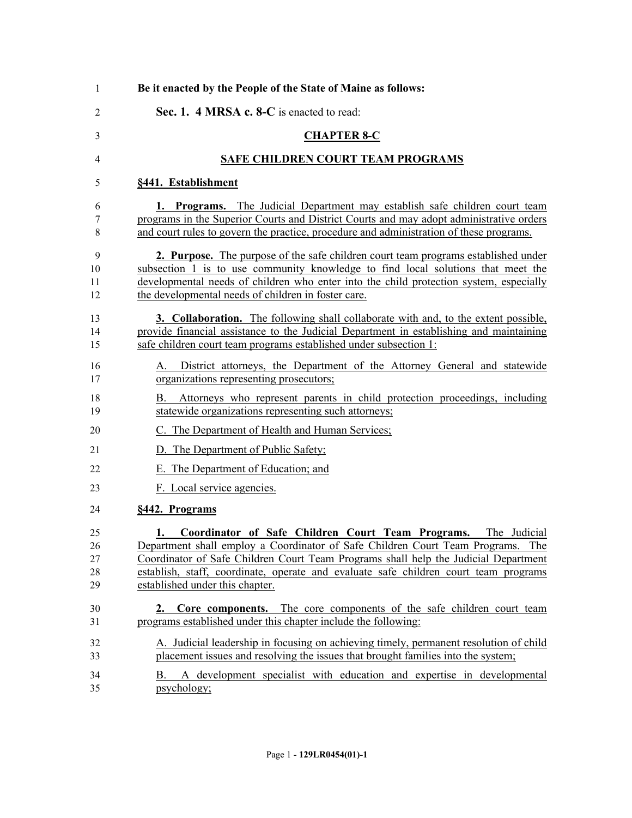| Be it enacted by the People of the State of Maine as follows:                                                                                                                                                                                                                                                                                                                |
|------------------------------------------------------------------------------------------------------------------------------------------------------------------------------------------------------------------------------------------------------------------------------------------------------------------------------------------------------------------------------|
| Sec. 1. 4 MRSA c. 8-C is enacted to read:                                                                                                                                                                                                                                                                                                                                    |
| <b>CHAPTER 8-C</b>                                                                                                                                                                                                                                                                                                                                                           |
| <b>SAFE CHILDREN COURT TEAM PROGRAMS</b>                                                                                                                                                                                                                                                                                                                                     |
| §441. Establishment                                                                                                                                                                                                                                                                                                                                                          |
| 1. Programs. The Judicial Department may establish safe children court team<br>programs in the Superior Courts and District Courts and may adopt administrative orders<br>and court rules to govern the practice, procedure and administration of these programs.                                                                                                            |
| 2. Purpose. The purpose of the safe children court team programs established under<br>subsection 1 is to use community knowledge to find local solutions that meet the<br>developmental needs of children who enter into the child protection system, especially<br>the developmental needs of children in foster care.                                                      |
| <b>3. Collaboration.</b> The following shall collaborate with and, to the extent possible,<br>provide financial assistance to the Judicial Department in establishing and maintaining<br>safe children court team programs established under subsection 1:                                                                                                                   |
| District attorneys, the Department of the Attorney General and statewide<br>А.<br>organizations representing prosecutors;                                                                                                                                                                                                                                                    |
| Attorneys who represent parents in child protection proceedings, including<br>В.<br>statewide organizations representing such attorneys;                                                                                                                                                                                                                                     |
| C. The Department of Health and Human Services;                                                                                                                                                                                                                                                                                                                              |
| D. The Department of Public Safety;                                                                                                                                                                                                                                                                                                                                          |
| E. The Department of Education; and                                                                                                                                                                                                                                                                                                                                          |
| F. Local service agencies.                                                                                                                                                                                                                                                                                                                                                   |
| §442. Programs                                                                                                                                                                                                                                                                                                                                                               |
| Coordinator of Safe Children Court Team Programs.<br>The Judicial<br>1.<br>Department shall employ a Coordinator of Safe Children Court Team Programs. The<br>Coordinator of Safe Children Court Team Programs shall help the Judicial Department<br>establish, staff, coordinate, operate and evaluate safe children court team programs<br>established under this chapter. |
| 2. Core components. The core components of the safe children court team<br>programs established under this chapter include the following:                                                                                                                                                                                                                                    |
| A. Judicial leadership in focusing on achieving timely, permanent resolution of child<br>placement issues and resolving the issues that brought families into the system;                                                                                                                                                                                                    |
| A development specialist with education and expertise in developmental<br>В.<br>psychology;                                                                                                                                                                                                                                                                                  |